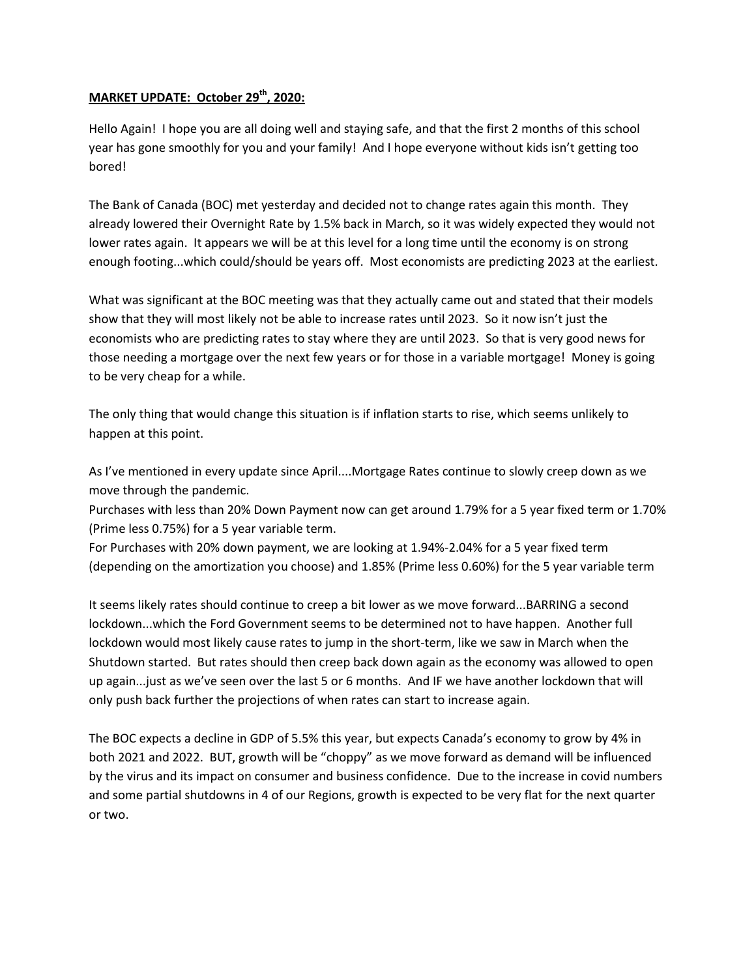## **MARKET UPDATE: October 29th, 2020:**

Hello Again! I hope you are all doing well and staying safe, and that the first 2 months of this school year has gone smoothly for you and your family! And I hope everyone without kids isn't getting too bored!

The Bank of Canada (BOC) met yesterday and decided not to change rates again this month. They already lowered their Overnight Rate by 1.5% back in March, so it was widely expected they would not lower rates again. It appears we will be at this level for a long time until the economy is on strong enough footing...which could/should be years off. Most economists are predicting 2023 at the earliest.

What was significant at the BOC meeting was that they actually came out and stated that their models show that they will most likely not be able to increase rates until 2023. So it now isn't just the economists who are predicting rates to stay where they are until 2023. So that is very good news for those needing a mortgage over the next few years or for those in a variable mortgage! Money is going to be very cheap for a while.

The only thing that would change this situation is if inflation starts to rise, which seems unlikely to happen at this point.

As I've mentioned in every update since April....Mortgage Rates continue to slowly creep down as we move through the pandemic.

Purchases with less than 20% Down Payment now can get around 1.79% for a 5 year fixed term or 1.70% (Prime less 0.75%) for a 5 year variable term.

For Purchases with 20% down payment, we are looking at 1.94%-2.04% for a 5 year fixed term (depending on the amortization you choose) and 1.85% (Prime less 0.60%) for the 5 year variable term

It seems likely rates should continue to creep a bit lower as we move forward...BARRING a second lockdown...which the Ford Government seems to be determined not to have happen. Another full lockdown would most likely cause rates to jump in the short-term, like we saw in March when the Shutdown started. But rates should then creep back down again as the economy was allowed to open up again...just as we've seen over the last 5 or 6 months. And IF we have another lockdown that will only push back further the projections of when rates can start to increase again.

The BOC expects a decline in GDP of 5.5% this year, but expects Canada's economy to grow by 4% in both 2021 and 2022. BUT, growth will be "choppy" as we move forward as demand will be influenced by the virus and its impact on consumer and business confidence. Due to the increase in covid numbers and some partial shutdowns in 4 of our Regions, growth is expected to be very flat for the next quarter or two.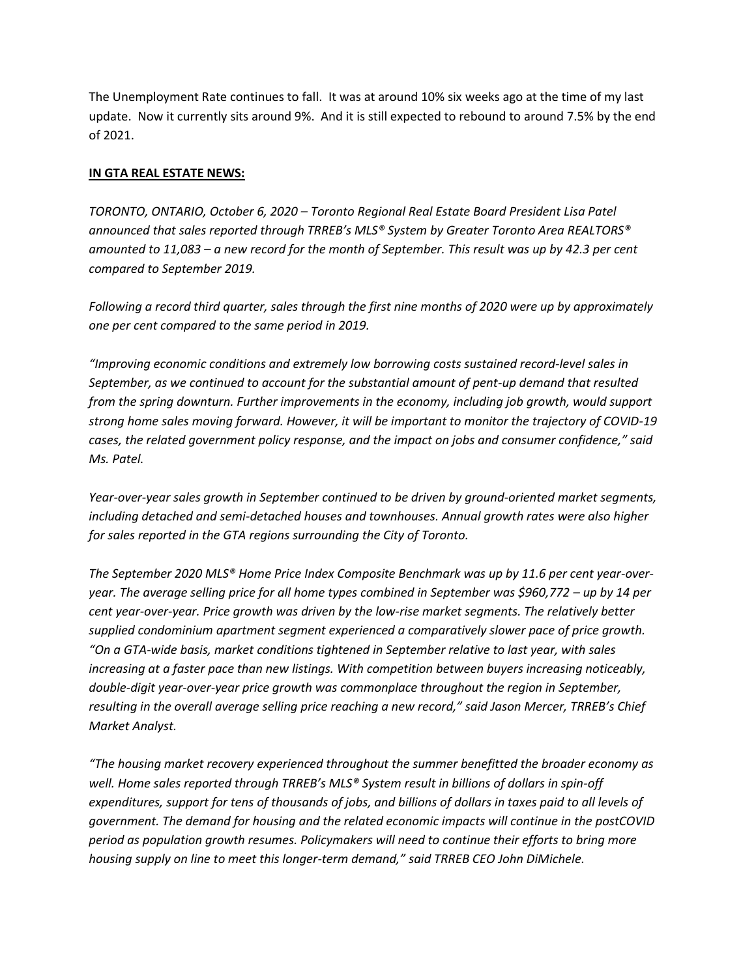The Unemployment Rate continues to fall. It was at around 10% six weeks ago at the time of my last update. Now it currently sits around 9%. And it is still expected to rebound to around 7.5% by the end of 2021.

## **IN GTA REAL ESTATE NEWS:**

*TORONTO, ONTARIO, October 6, 2020 – Toronto Regional Real Estate Board President Lisa Patel announced that sales reported through TRREB's MLS® System by Greater Toronto Area REALTORS® amounted to 11,083 – a new record for the month of September. This result was up by 42.3 per cent compared to September 2019.* 

*Following a record third quarter, sales through the first nine months of 2020 were up by approximately one per cent compared to the same period in 2019.* 

*"Improving economic conditions and extremely low borrowing costs sustained record-level sales in September, as we continued to account for the substantial amount of pent-up demand that resulted from the spring downturn. Further improvements in the economy, including job growth, would support strong home sales moving forward. However, it will be important to monitor the trajectory of COVID-19 cases, the related government policy response, and the impact on jobs and consumer confidence," said Ms. Patel.* 

*Year-over-year sales growth in September continued to be driven by ground-oriented market segments, including detached and semi-detached houses and townhouses. Annual growth rates were also higher for sales reported in the GTA regions surrounding the City of Toronto.* 

*The September 2020 MLS® Home Price Index Composite Benchmark was up by 11.6 per cent year-overyear. The average selling price for all home types combined in September was \$960,772 – up by 14 per cent year-over-year. Price growth was driven by the low-rise market segments. The relatively better supplied condominium apartment segment experienced a comparatively slower pace of price growth. "On a GTA-wide basis, market conditions tightened in September relative to last year, with sales increasing at a faster pace than new listings. With competition between buyers increasing noticeably, double-digit year-over-year price growth was commonplace throughout the region in September, resulting in the overall average selling price reaching a new record," said Jason Mercer, TRREB's Chief Market Analyst.* 

*"The housing market recovery experienced throughout the summer benefitted the broader economy as well. Home sales reported through TRREB's MLS® System result in billions of dollars in spin-off expenditures, support for tens of thousands of jobs, and billions of dollars in taxes paid to all levels of government. The demand for housing and the related economic impacts will continue in the postCOVID period as population growth resumes. Policymakers will need to continue their efforts to bring more housing supply on line to meet this longer-term demand," said TRREB CEO John DiMichele.*